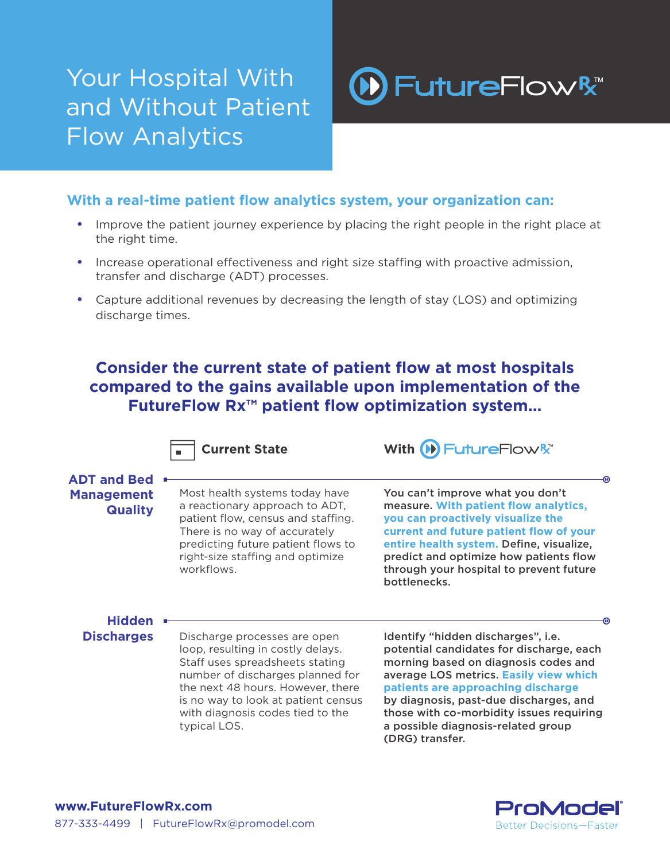## Your Hospital With and Without Patient Flow Analytics



### **With a real-time patient flow analytics system, your organization can:**

- **•** Improve the patient journey experience by placing the right people in the right place at the right time.
- **•** Increase operational effectiveness and right size staffing with proactive admission, transfer and discharge (ADT) processes.
- **•** Capture additional revenues by decreasing the length of stay (LOS) and optimizing discharge times.

### **Consider the current state of patient flow at most hospitals compared to the gains available upon implementation of the FutureFlow Rx™ patient flow optimization system...**



**Current State With (D) Future Flow R<sup>\*</sup>** 

#### **ADT and Bed Management Quality**

Most health systems today have a reactionary approach to ADT, patient flow, census and staffing. There is no way of accurately predicting future patient flows to right-size staffing and optimize workflows.

You can't improve what you don't measure. **With patient flow analytics, you can proactively visualize the current and future patient flow of your entire health system.** Define, visualize, predict and optimize how patients flow through your hospital to prevent future bottlenecks.

# **Hidden**

**Discharges** Discharge processes are open loop, resulting in costly delays. Staff uses spreadsheets stating number of discharges planned for the next 48 hours. However, there is no way to look at patient census with diagnosis codes tied to the typical LOS.

Identify "hidden discharges", i.e. potential candidates for discharge, each morning based on diagnosis codes and average LOS metrics. **Easily view which patients are approaching discharge**  by diagnosis, past-due discharges, and those with co-morbidity issues requiring a possible diagnosis-related group (DRG) transfer.



ൈ